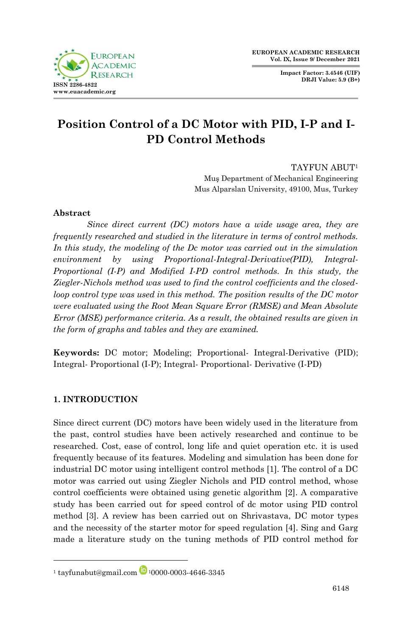**Impact Factor: 3.4546 (UIF) DRJI Value: 5.9 (B+)**



# **Position Control of a DC Motor with PID, I-P and I-PD Control Methods**

TAYFUN ABUT<sup>1</sup>

Muş Department of Mechanical Engineering Mus Alparslan University, 49100, Mus, Turkey

# **Abstract**

*Since direct current (DC) motors have a wide usage area, they are frequently researched and studied in the literature in terms of control methods. In this study, the modeling of the Dc motor was carried out in the simulation environment by using Proportional-Integral-Derivative(PID), Integral-Proportional (I-P) and Modified I-PD control methods. In this study, the Ziegler-Nichols method was used to find the control coefficients and the closedloop control type was used in this method. The position results of the DC motor were evaluated using the Root Mean Square Error (RMSE) and Mean Absolute Error (MSE) performance criteria. As a result, the obtained results are given in the form of graphs and tables and they are examined.*

**Keywords:** DC motor; Modeling; Proportional- Integral-Derivative (PID); Integral- Proportional (I-P); Integral- Proportional- Derivative (I-PD)

# **1. INTRODUCTION**

1

Since direct current (DC) motors have been widely used in the literature from the past, control studies have been actively researched and continue to be researched. Cost, ease of control, long life and quiet operation etc. it is used frequently because of its features. Modeling and simulation has been done for industrial DC motor using intelligent control methods [1]. The control of a DC motor was carried out using Ziegler Nichols and PID control method, whose control coefficients were obtained using genetic algorithm [2]. A comparative study has been carried out for speed control of dc motor using PID control method [3]. A review has been carried out on Shrivastava, DC motor types and the necessity of the starter motor for speed regulation [4]. Sing and Garg made a literature study on the tuning methods of PID control method for

<sup>&</sup>lt;sup>1</sup> tayfunabut@gmail.com  $\Box$  <sup>1</sup>0000-0003-4646-3345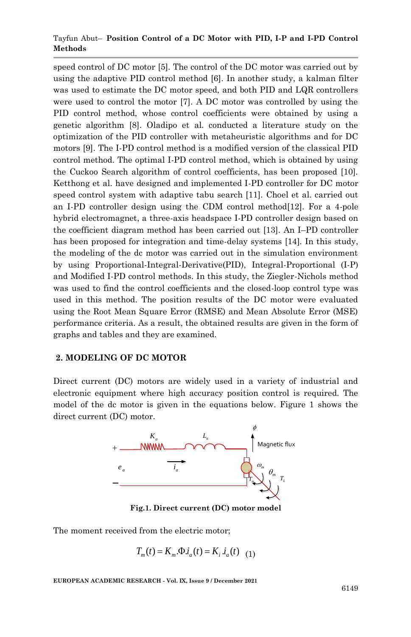#### Tayfun Abut– **Position Control of a DC Motor with PID, I-P and I-PD Control Methods**

speed control of DC motor [5]. The control of the DC motor was carried out by using the adaptive PID control method [6]. In another study, a kalman filter was used to estimate the DC motor speed, and both PID and LQR controllers were used to control the motor [7]. A DC motor was controlled by using the PID control method, whose control coefficients were obtained by using a genetic algorithm [8]. Oladipo et al. conducted a literature study on the optimization of the PID controller with metaheuristic algorithms and for DC motors [9]. The I-PD control method is a modified version of the classical PID control method. The optimal I-PD control method, which is obtained by using the Cuckoo Search algorithm of control coefficients, has been proposed [10]. Ketthong et al. have designed and implemented I-PD controller for DC motor speed control system with adaptive tabu search [11]. Choel et al. carried out an I-PD controller design using the CDM control method[12]. For a 4-pole hybrid electromagnet, a three-axis headspace I-PD controller design based on the coefficient diagram method has been carried out [13]. An I–PD controller has been proposed for integration and time-delay systems [14]. In this study, the modeling of the dc motor was carried out in the simulation environment by using Proportional-Integral-Derivative(PID), Integral-Proportional (I-P) and Modified I-PD control methods. In this study, the Ziegler-Nichols method was used to find the control coefficients and the closed-loop control type was used in this method. The position results of the DC motor were evaluated using the Root Mean Square Error (RMSE) and Mean Absolute Error (MSE) performance criteria. As a result, the obtained results are given in the form of graphs and tables and they are examined.

#### **2. MODELING OF DC MOTOR**

Direct current (DC) motors are widely used in a variety of industrial and electronic equipment where high accuracy position control is required. The model of the dc motor is given in the equations below. Figure 1 shows the direct current (DC) motor.



**Fig.1. Direct current (DC) motor model**

The moment received from the electric motor;

$$
T_m(t) = K_m \Phi \dot{d}_a(t) = K_i \dot{d}_a(t) \quad (1)
$$

**EUROPEAN ACADEMIC RESEARCH - Vol. IX, Issue 9 / December 2021**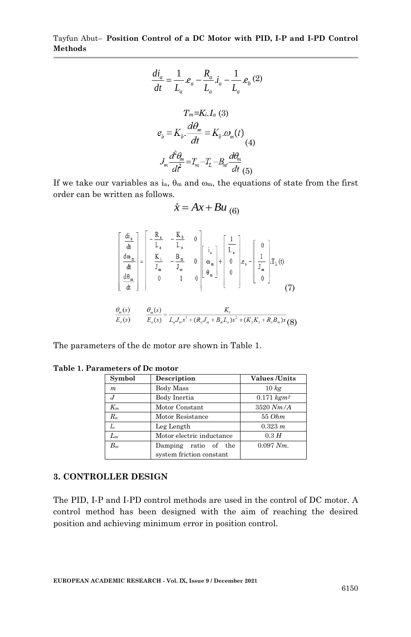Tayfun Abut– **Position Control of a DC Motor with PID, I-P and I-PD Control Methods**

$$
\frac{di_a}{dt} = \frac{1}{L_a} . e_a - \frac{R_a}{L_a} . i_a - \frac{1}{L_a} . e_b (2)
$$

$$
T_m = Ki. I_a (3)
$$

$$
e_b = K_b . \frac{d\theta_m}{dt} = K_b . \omega_m(t)
$$

$$
J_m \frac{d^2 \theta_m}{dt^2} = T_m - T_L - B_m \frac{d\theta_m}{dt} (5)
$$

If we take our variables as  $i_a$ ,  $\theta_m$  and  $\omega_m$ , the equations of state from the first order can be written as follows.

$$
\dot{x} = Ax + Bu_{(6)}
$$

$$
\begin{bmatrix}\n\frac{di_1}{dt} \\
\frac{d\omega_n}{dt} \\
\frac{d\theta_m}{dt}\n\end{bmatrix} = \begin{bmatrix}\n-\frac{R_a}{L_a} & -\frac{K_b}{L_a} & 0 \\
\frac{K_i}{J_m} & -\frac{B_m}{J_m} & 0 \\
0 & 1 & 0\n\end{bmatrix} \begin{bmatrix}\ni_a \\
\omega_m \\
\theta_m\n\end{bmatrix} + \begin{bmatrix}\n\frac{1}{L_a} \\
0 \\
0\n\end{bmatrix} e_a - \begin{bmatrix}\n0 \\
\frac{1}{J_m} \\
0\n\end{bmatrix} T_L(t)
$$
\n(7)\n  
\n
$$
\frac{\theta_m(s)}{E_a(s)} = \frac{K_t}{L_a J_m s^3 + (R_a J_m + B_m L_a) s^2 + (K_b K_t + R_a B_m) s}
$$
 (8)

The parameters of the dc motor are shown in Table 1.

| Symbol           | Description               | <b>Values</b> / <b>Units</b> |
|------------------|---------------------------|------------------------------|
| $\boldsymbol{m}$ | Body Mass                 | 10 kg                        |
| J                | Body Inertia              | $0.171$ $kgm2$               |
| $K_m$            | Motor Constant            | $3520$ $Nm/A$                |
| $R_a$            | Motor Resistance          | 55 Ohm                       |
| $l_{o}$          | Leg Length                | 0.323 m                      |
| $L_m$            | Motor electric inductance | 0.3H                         |
| $B_m$            | Damping ratio of the      | $0.097 Nm$ .                 |
|                  | system friction constant  |                              |

#### **Table 1. Parameters of Dc motor**

### **3. CONTROLLER DESIGN**

The PID, I-P and I-PD control methods are used in the control of DC motor. A control method has been designed with the aim of reaching the desired position and achieving minimum error in position control.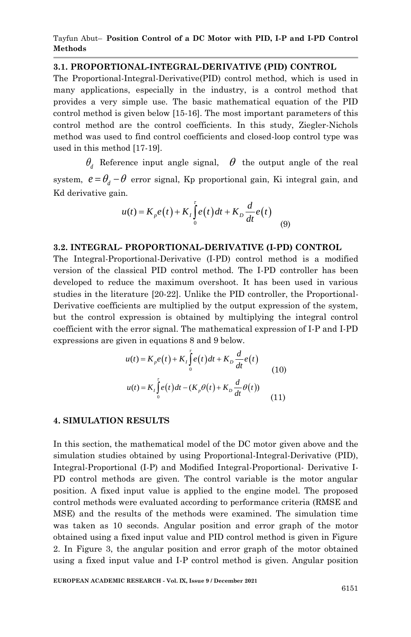#### **3.1. PROPORTIONAL-INTEGRAL-DERIVATIVE (PID) CONTROL**

The Proportional-Integral-Derivative(PID) control method, which is used in many applications, especially in the industry, is a control method that provides a very simple use. The basic mathematical equation of the PID control method is given below [15-16]. The most important parameters of this control method are the control coefficients. In this study, Ziegler-Nichols method was used to find control coefficients and closed-loop control type was used in this method [17-19].

 $\theta_d$  Reference input angle signal,  $\theta$  the output angle of the real system,  $e = \theta_d - \theta$  error signal, Kp proportional gain, Ki integral gain, and Kd derivative gain.

n.  
\n
$$
u(t) = K_p e(t) + K_I \int_0^t e(t) dt + K_D \frac{d}{dt} e(t)
$$
\n(9)

#### **3.2. INTEGRAL- PROPORTIONAL-DERIVATIVE (I-PD) CONTROL**

The Integral-Proportional-Derivative (I-PD) control method is a modified version of the classical PID control method. The I-PD controller has been developed to reduce the maximum overshoot. It has been used in various studies in the literature [20-22]. Unlike the PID controller, the Proportional-Derivative coefficients are multiplied by the output expression of the system, but the control expression is obtained by multiplying the integral control coefficient with the error signal. The mathematical expression of I-P and I-PD

expressions are given in equations 8 and 9 below.  
\n
$$
u(t) = K_p e(t) + K_t \int_0^t e(t) dt + K_p \frac{d}{dt} e(t)
$$
\n
$$
u(t) = K_t \int_0^t e(t) dt - (K_p \theta(t) + K_p \frac{d}{dt} \theta(t))
$$
\n(11)

#### **4. SIMULATION RESULTS**

In this section, the mathematical model of the DC motor given above and the simulation studies obtained by using Proportional-Integral-Derivative (PID), Integral-Proportional (I-P) and Modified Integral-Proportional- Derivative I-PD control methods are given. The control variable is the motor angular position. A fixed input value is applied to the engine model. The proposed control methods were evaluated according to performance criteria (RMSE and MSE) and the results of the methods were examined. The simulation time was taken as 10 seconds. Angular position and error graph of the motor obtained using a fixed input value and PID control method is given in Figure 2. In Figure 3, the angular position and error graph of the motor obtained using a fixed input value and I-P control method is given. Angular position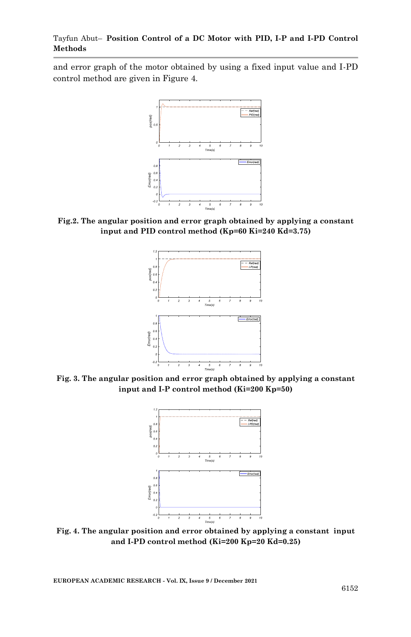and error graph of the motor obtained by using a fixed input value and I-PD control method are given in Figure 4.



**Fig.2. The angular position and error graph obtained by applying a constant input and PID control method (Kp=60 Ki=240 Kd=3.75)**



**Fig. 3. The angular position and error graph obtained by applying a constant input and I-P control method (Ki=200 Kp=50)**



**Fig. 4. The angular position and error obtained by applying a constant input and I-PD control method (Ki=200 Kp=20 Kd=0.25)**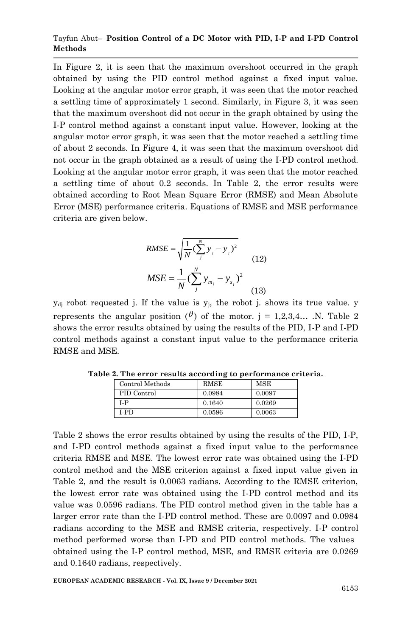#### Tayfun Abut– **Position Control of a DC Motor with PID, I-P and I-PD Control Methods**

In Figure 2, it is seen that the maximum overshoot occurred in the graph obtained by using the PID control method against a fixed input value. Looking at the angular motor error graph, it was seen that the motor reached a settling time of approximately 1 second. Similarly, in Figure 3, it was seen that the maximum overshoot did not occur in the graph obtained by using the I-P control method against a constant input value. However, looking at the angular motor error graph, it was seen that the motor reached a settling time of about 2 seconds. In Figure 4, it was seen that the maximum overshoot did not occur in the graph obtained as a result of using the I-PD control method. Looking at the angular motor error graph, it was seen that the motor reached a settling time of about 0.2 seconds. In Table 2, the error results were obtained according to Root Mean Square Error (RMSE) and Mean Absolute Error (MSE) performance criteria. Equations of RMSE and MSE performance criteria are given below.

RMSE = 
$$
\sqrt{\frac{1}{N} (\sum_{j}^{N} y_{j} - y_{j})^{2}}
$$
  
\nMSE =  $\frac{1}{N} (\sum_{j}^{N} y_{m_{j}} - y_{s_{j}})^{2}$  (13)

 $y_{dj}$  robot requested j. If the value is  $y_j$ , the robot j. shows its true value. y represents the angular position ( $\theta$ ) of the motor. j = 1,2,3,4... .N. Table 2 shows the error results obtained by using the results of the PID, I-P and I-PD control methods against a constant input value to the performance criteria RMSE and MSE.

| Control Methods | RMSE   | MSE    |
|-----------------|--------|--------|
| PID Control     | 0.0984 | 0.0097 |
| I-P             | 0.1640 | 0.0269 |
| I-PD            | 0.0596 | 0.0063 |

**Table 2. The error results according to performance criteria.**

Table 2 shows the error results obtained by using the results of the PID, I-P, and I-PD control methods against a fixed input value to the performance criteria RMSE and MSE. The lowest error rate was obtained using the I-PD control method and the MSE criterion against a fixed input value given in Table 2, and the result is 0.0063 radians. According to the RMSE criterion, the lowest error rate was obtained using the I-PD control method and its value was 0.0596 radians. The PID control method given in the table has a larger error rate than the I-PD control method. These are 0.0097 and 0.0984 radians according to the MSE and RMSE criteria, respectively. I-P control method performed worse than I-PD and PID control methods. The values obtained using the I-P control method, MSE, and RMSE criteria are 0.0269 and 0.1640 radians, respectively.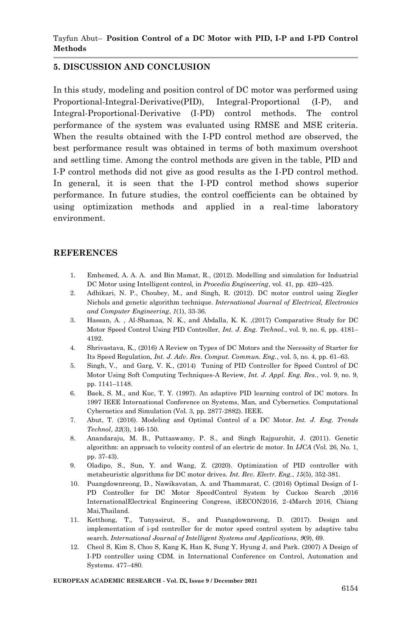## **5. DISCUSSION AND CONCLUSION**

In this study, modeling and position control of DC motor was performed using Proportional-Integral-Derivative(PID), Integral-Proportional (I-P), and Integral-Proportional-Derivative (I-PD) control methods. The control performance of the system was evaluated using RMSE and MSE criteria. When the results obtained with the I-PD control method are observed, the best performance result was obtained in terms of both maximum overshoot and settling time. Among the control methods are given in the table, PID and I-P control methods did not give as good results as the I-PD control method. In general, it is seen that the I-PD control method shows superior performance. In future studies, the control coefficients can be obtained by using optimization methods and applied in a real-time laboratory environment.

#### **REFERENCES**

- 1. Emhemed, A. A. A. and Bin Mamat, R., (2012). Modelling and simulation for Industrial DC Motor using Intelligent control, in *Procedia Engineering*, vol. 41, pp. 420–425.
- 2. Adhikari, N. P., Choubey, M., and Singh, R. (2012). DC motor control using Ziegler Nichols and genetic algorithm technique. *International Journal of Electrical, Electronics and Computer Engineering*, *1*(1), 33-36.
- 3. Hassan, A. , Al-Shamaa, N. K., and Abdalla, K. K. ,(2017) Comparative Study for DC Motor Speed Control Using PID Controller, *Int. J. Eng. Technol.*, vol. 9, no. 6, pp. 4181– 4192.
- 4. Shrivastava, K., (2016) A Review on Types of DC Motors and the Necessity of Starter for Its Speed Regulation, *Int. J. Adv. Res. Comput. Commun. Eng.*, vol. 5, no. 4, pp. 61–63.
- 5. Singh, V., and Garg, V. K., (2014) Tuning of PID Controller for Speed Control of DC Motor Using Soft Computing Techniques-A Review, *Int. J. Appl. Eng. Res.*, vol. 9, no. 9, pp. 1141–1148.
- 6. Baek, S. M., and Kuc, T. Y. (1997). An adaptive PID learning control of DC motors. In 1997 IEEE International Conference on Systems, Man, and Cybernetics. Computational Cybernetics and Simulation (Vol. 3, pp. 2877-2882). IEEE.
- 7. Abut, T. (2016). Modeling and Optimal Control of a DC Motor. *Int. J. Eng. Trends Technol*, *32*(3), 146-150.
- 8. Anandaraju, M. B., Puttaswamy, P. S., and Singh Rajpurohit, J. (2011). Genetic algorithm: an approach to velocity control of an electric dc motor. In *IJCA* (Vol. 26, No. 1, pp. 37-43).
- 9. Oladipo, S., Sun, Y. and Wang, Z. (2020). Optimization of PID controller with metaheuristic algorithms for DC motor drives. *Int. Rev. Electr. Eng.*, *15*(5), 352-381.
- 10. Puangdownreong, D., Nawikavatan, A. and Thammarat, C. (2016) Optimal Design of I-PD Controller for DC Motor SpeedControl System by Cuckoo Search ,2016 InternationalElectrical Engineering Congress, iEECON2016, 2-4March 2016, Chiang Mai,Thailand.
- 11. Ketthong, T., Tunyasirut, S., and Puangdownreong, D. (2017). Design and implementation of i-pd controller for dc motor speed control system by adaptive tabu search. *International Journal of Intelligent Systems and Applications*, *9*(9), 69.
- 12. Cheol S, Kim S, Choo S, Kang K, Han K, Sung Y, Hyung J, and Park. (2007) A Design of I-PD controller using CDM. in International Conference on Control, Automation and Systems. 477–480.